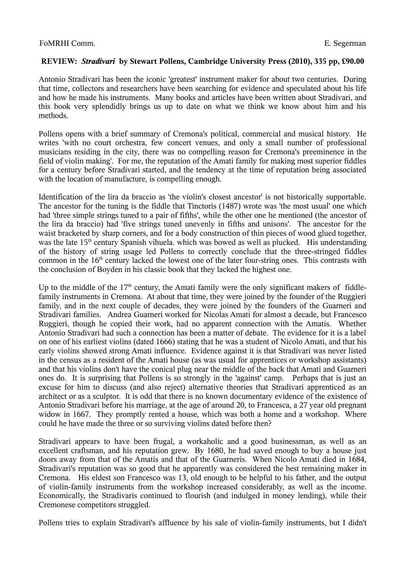## **REVIEW:** *Stradivari* **by Stewart Pollens, Cambridge University Press (2010), 335 pp, £90.00**

Antonio Stradivari has been the iconic 'greatest' instrument maker for about two centuries. During that time, collectors and researchers have been searching for evidence and speculated about his life and how he made his instruments. Many books and articles have been written about Stradivari, and this book very splendidly brings us up to date on what we think we know about him and his methods.

Pollens opens with a brief summary of Cremona's political, commercial and musical history. He writes 'with no court orchestra, few concert venues, and only a small number of professional musicians residing in the city, there was no compelling reason for Cremona's preeminence in the field of violin making'. For me, the reputation of the Amati family for making most superior fiddles for a century before Stradivari started, and the tendency at the time of reputation being associated with the location of manufacture, is compelling enough.

Identification of the lira da braccio as 'the violin's closest ancestor' is not historically supportable. The ancestor for the tuning is the fiddle that Tinctoris (1487) wrote was 'the most usual' one which had 'three simple strings tuned to a pair of fifths', while the other one he mentioned (the ancestor of the lira da braccio) had 'five strings tuned unevenly in fifths and unisons'. The ancestor for the waist bracketed by sharp corners, and for a body construction of thin pieces of wood glued together, was the late 15<sup>th</sup> century Spanish vihuela. which was bowed as well as plucked. His understanding of the history of string usage led Pollens to correctly conclude that the three-stringed fiddles common in the  $16<sup>th</sup>$  century lacked the lowest one of the later four-string ones. This contrasts with the conclusion of Boyden in his classic book that they lacked the highest one.

Up to the middle of the  $17<sup>th</sup>$  century, the Amati family were the only significant makers of fiddlefamily instruments in Cremona. At about that time, they were joined by the founder of the Ruggieri family, and in the next couple of decades, they were joined by the founders of the Guarneri and Stradivari families. Andrea Guarneri worked for Nicolas Amati for almost a decade, but Francesco Ruggieri, though he copied their work, had no apparent connection with the Amatis. Whether Antonio Stradivari had such a connection has been a matter of debate. The evidence for it is a label on one of his earliest violins (dated 1666) stating that he was a student of Nicolo Amati, and that his early violins showed strong Amati influence. Evidence against it is that Stradivari was never listed in the census as a resident of the Amati house (as was usual for apprentices or workshop assistants) and that his violins don't have the conical plug near the middle of the back that Amati and Guarneri ones do. It is surprising that Pollens is so strongly in the 'against' camp. Perhaps that is just an excuse for him to discuss (and also reject) alternative theories that Stradivari apprenticed as an architect or as a sculptor. It is odd that there is no known documentary evidence of the existence of Antonio Stradivari before his marriage, at the age of around 20, to Francesca, a 27 year old pregnant widow in 1667. They promptly rented a house, which was both a home and a workshop. Where could he have made the three or so surviving violins dated before then?

Stradivari appears to have been frugal, a workaholic and a good businessman, as well as an excellent craftsman, and his reputation grew. By 1680, he had saved enough to buy a house just doors away from that of the Amatis and that of the Guarneris. When Nicolo Amati died in 1684, Stradivari's reputation was so good that he apparently was considered the best remaining maker in Cremona. His eldest son Francesco was 13, old enough to be helpful to his father, and the output of violin-family instruments from the workshop increased considerably, as well as the income. Economically, the Stradivaris continued to flourish (and indulged in money lending), while their Cremonese competitors struggled.

Pollens tries to explain Stradivari's affluence by his sale of violin-family instruments, but I didn't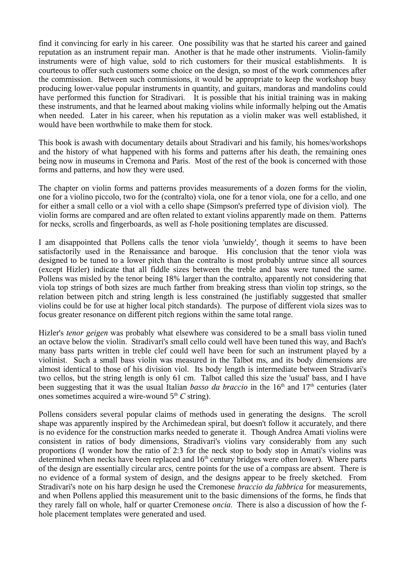find it convincing for early in his career. One possibility was that he started his career and gained reputation as an instrument repair man. Another is that he made other instruments. Violin-family instruments were of high value, sold to rich customers for their musical establishments. It is courteous to offer such customers some choice on the design, so most of the work commences after the commission. Between such commissions, it would be appropriate to keep the workshop busy producing lower-value popular instruments in quantity, and guitars, mandoras and mandolins could have performed this function for Stradivari. It is possible that his initial training was in making these instruments, and that he learned about making violins while informally helping out the Amatis when needed. Later in his career, when his reputation as a violin maker was well established, it would have been worthwhile to make them for stock.

This book is awash with documentary details about Stradivari and his family, his homes/workshops and the history of what happened with his forms and patterns after his death, the remaining ones being now in museums in Cremona and Paris. Most of the rest of the book is concerned with those forms and patterns, and how they were used.

The chapter on violin forms and patterns provides measurements of a dozen forms for the violin, one for a violino piccolo, two for the (contralto) viola, one for a tenor viola, one for a cello, and one for either a small cello or a viol with a cello shape (Simpson's preferred type of division viol). The violin forms are compared and are often related to extant violins apparently made on them. Patterns for necks, scrolls and fingerboards, as well as f-hole positioning templates are discussed.

I am disappointed that Pollens calls the tenor viola 'unwieldy', though it seems to have been satisfactorily used in the Renaissance and baroque. His conclusion that the tenor viola was designed to be tuned to a lower pitch than the contralto is most probably untrue since all sources (except Hizler) indicate that all fiddle sizes between the treble and bass were tuned the same. Pollens was misled by the tenor being 18% larger than the contralto, apparently not considering that viola top strings of both sizes are much farther from breaking stress than violin top strings, so the relation between pitch and string length is less constrained (he justifiably suggested that smaller violins could be for use at higher local pitch standards). The purpose of different viola sizes was to focus greater resonance on different pitch regions within the same total range.

Hizler's *tenor geigen* was probably what elsewhere was considered to be a small bass violin tuned an octave below the violin. Stradivari's small cello could well have been tuned this way, and Bach's many bass parts written in treble clef could well have been for such an instrument played by a violinist. Such a small bass violin was measured in the Talbot ms, and its body dimensions are almost identical to those of his division viol. Its body length is intermediate between Stradivari's two cellos, but the string length is only 61 cm. Talbot called this size the 'usual' bass, and I have been suggesting that it was the usual Italian *basso da braccio* in the 16<sup>th</sup> and 17<sup>th</sup> centuries (later ones sometimes acquired a wire-wound  $5<sup>th</sup> C$  string).

Pollens considers several popular claims of methods used in generating the designs. The scroll shape was apparently inspired by the Archimedean spiral, but doesn't follow it accurately, and there is no evidence for the construction marks needed to generate it. Though Andrea Amati violins were consistent in ratios of body dimensions, Stradivari's violins vary considerably from any such proportions (I wonder how the ratio of 2:3 for the neck stop to body stop in Amati's violins was determined when necks have been replaced and  $16<sup>th</sup>$  century bridges were often lower). Where parts of the design are essentially circular arcs, centre points for the use of a compass are absent. There is no evidence of a formal system of design, and the designs appear to be freely sketched. From Stradivari's note on his harp design he used the Cremonese *braccio da fabbrica* for measurements, and when Pollens applied this measurement unit to the basic dimensions of the forms, he finds that they rarely fall on whole, half or quarter Cremonese *oncia*. There is also a discussion of how the fhole placement templates were generated and used.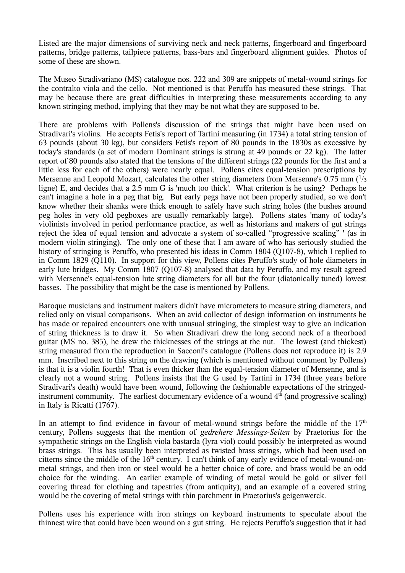Listed are the major dimensions of surviving neck and neck patterns, fingerboard and fingerboard patterns, bridge patterns, tailpiece patterns, bass-bars and fingerboard alignment guides. Photos of some of these are shown.

The Museo Stradivariano (MS) catalogue nos. 222 and 309 are snippets of metal-wound strings for the contralto viola and the cello. Not mentioned is that Peruffo has measured these strings. That may be because there are great difficulties in interpreting these measurements according to any known stringing method, implying that they may be not what they are supposed to be.

There are problems with Pollens's discussion of the strings that might have been used on Stradivari's violins. He accepts Fetis's report of Tartini measuring (in 1734) a total string tension of 63 pounds (about 30 kg), but considers Fetis's report of 80 pounds in the 1830s as excessive by today's standards (a set of modern Dominant strings is strung at 49 pounds or 22 kg). The latter report of 80 pounds also stated that the tensions of the different strings (22 pounds for the first and a little less for each of the others) were nearly equal. Pollens cites equal-tension prescriptions by Mersenne and Leopold Mozart, calculates the other string diameters from Mersenne's  $0.75$  mm  $\left(\frac{1}{3}\right)$ ligne) E, and decides that a 2.5 mm G is 'much too thick'. What criterion is he using? Perhaps he can't imagine a hole in a peg that big. But early pegs have not been properly studied, so we don't know whether their shanks were thick enough to safely have such string holes (the bushes around peg holes in very old pegboxes are usually remarkably large). Pollens states 'many of today's violinists involved in period performance practice, as well as historians and makers of gut strings reject the idea of equal tension and advocate a system of so-called "progressive scaling" ' (as in modern violin stringing). The only one of these that I am aware of who has seriously studied the history of stringing is Peruffo, who presented his ideas in Comm 1804 (Q107-8), which I replied to in Comm 1829 (Q110). In support for this view, Pollens cites Peruffo's study of hole diameters in early lute bridges. My Comm 1807 (Q107-8) analysed that data by Peruffo, and my result agreed with Mersenne's equal-tension lute string diameters for all but the four (diatonically tuned) lowest basses. The possibility that might be the case is mentioned by Pollens.

Baroque musicians and instrument makers didn't have micrometers to measure string diameters, and relied only on visual comparisons. When an avid collector of design information on instruments he has made or repaired encounters one with unusual stringing, the simplest way to give an indication of string thickness is to draw it. So when Stradivari drew the long second neck of a theorboed guitar (MS no. 385), he drew the thicknesses of the strings at the nut. The lowest (and thickest) string measured from the reproduction in Sacconi's catalogue (Pollens does not reproduce it) is 2.9 mm. Inscribed next to this string on the drawing (which is mentioned without comment by Pollens) is that it is a violin fourth! That is even thicker than the equal-tension diameter of Mersenne, and is clearly not a wound string. Pollens insists that the G used by Tartini in 1734 (three years before Stradivari's death) would have been wound, following the fashionable expectations of the stringedinstrument community. The earliest documentary evidence of a wound  $4<sup>th</sup>$  (and progressive scaling) in Italy is Ricatti (1767).

In an attempt to find evidence in favour of metal-wound strings before the middle of the  $17<sup>th</sup>$ century, Pollens suggests that the mention of *gedrehere Messings-Seiten* by Praetorius for the sympathetic strings on the English viola bastarda (lyra viol) could possibly be interpreted as wound brass strings. This has usually been interpreted as twisted brass strings, which had been used on citterns since the middle of the  $16<sup>th</sup>$  century. I can't think of any early evidence of metal-wound-onmetal strings, and then iron or steel would be a better choice of core, and brass would be an odd choice for the winding. An earlier example of winding of metal would be gold or silver foil covering thread for clothing and tapestries (from antiquity), and an example of a covered string would be the covering of metal strings with thin parchment in Praetorius's geigenwerck.

Pollens uses his experience with iron strings on keyboard instruments to speculate about the thinnest wire that could have been wound on a gut string. He rejects Peruffo's suggestion that it had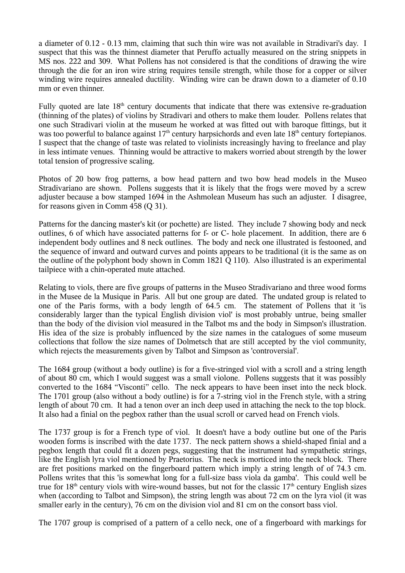a diameter of 0.12 - 0.13 mm, claiming that such thin wire was not available in Stradivari's day. I suspect that this was the thinnest diameter that Peruffo actually measured on the string snippets in MS nos. 222 and 309. What Pollens has not considered is that the conditions of drawing the wire through the die for an iron wire string requires tensile strength, while those for a copper or silver winding wire requires annealed ductility. Winding wire can be drawn down to a diameter of 0.10 mm or even thinner.

Fully quoted are late 18<sup>th</sup> century documents that indicate that there was extensive re-graduation (thinning of the plates) of violins by Stradivari and others to make them louder. Pollens relates that one such Stradivari violin at the museum he worked at was fitted out with baroque fittings, but it was too powerful to balance against  $17<sup>th</sup>$  century harpsichords and even late  $18<sup>th</sup>$  century fortepianos. I suspect that the change of taste was related to violinists increasingly having to freelance and play in less intimate venues. Thinning would be attractive to makers worried about strength by the lower total tension of progressive scaling.

Photos of 20 bow frog patterns, a bow head pattern and two bow head models in the Museo Stradivariano are shown. Pollens suggests that it is likely that the frogs were moved by a screw adjuster because a bow stamped 1694 in the Ashmolean Museum has such an adjuster. I disagree, for reasons given in Comm 458 (Q 31).

Patterns for the dancing master's kit (or pochette) are listed. They include 7 showing body and neck outlines, 6 of which have associated patterns for f- or C- hole placement. In addition, there are 6 independent body outlines and 8 neck outlines. The body and neck one illustrated is festooned, and the sequence of inward and outward curves and points appears to be traditional (it is the same as on the outline of the polyphont body shown in Comm 1821 Q 110). Also illustrated is an experimental tailpiece with a chin-operated mute attached.

Relating to viols, there are five groups of patterns in the Museo Stradivariano and three wood forms in the Musee de la Musique in Paris. All but one group are dated. The undated group is related to one of the Paris forms, with a body length of 64.5 cm. The statement of Pollens that it 'is considerably larger than the typical English division viol' is most probably untrue, being smaller than the body of the division viol measured in the Talbot ms and the body in Simpson's illustration. His idea of the size is probably influenced by the size names in the catalogues of some museum collections that follow the size names of Dolmetsch that are still accepted by the viol community, which rejects the measurements given by Talbot and Simpson as 'controversial'.

The 1684 group (without a body outline) is for a five-stringed viol with a scroll and a string length of about 80 cm, which I would suggest was a small violone. Pollens suggests that it was possibly converted to the 1684 "Visconti" cello. The neck appears to have been inset into the neck block. The 1701 group (also without a body outline) is for a 7-string viol in the French style, with a string length of about 70 cm. It had a tenon over an inch deep used in attaching the neck to the top block. It also had a finial on the pegbox rather than the usual scroll or carved head on French viols.

The 1737 group is for a French type of viol. It doesn't have a body outline but one of the Paris wooden forms is inscribed with the date 1737. The neck pattern shows a shield-shaped finial and a pegbox length that could fit a dozen pegs, suggesting that the instrument had sympathetic strings, like the English lyra viol mentioned by Praetorius. The neck is morticed into the neck block. There are fret positions marked on the fingerboard pattern which imply a string length of of 74.3 cm. Pollens writes that this 'is somewhat long for a full-size bass viola da gamba'. This could well be true for  $18<sup>th</sup>$  century viols with wire-wound basses, but not for the classic  $17<sup>th</sup>$  century English sizes when (according to Talbot and Simpson), the string length was about 72 cm on the lyra viol (it was smaller early in the century), 76 cm on the division viol and 81 cm on the consort bass viol.

The 1707 group is comprised of a pattern of a cello neck, one of a fingerboard with markings for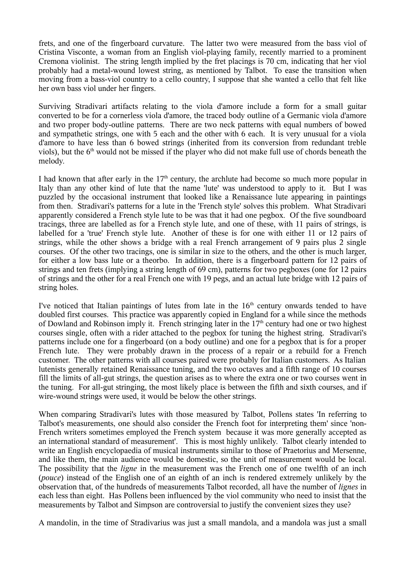frets, and one of the fingerboard curvature. The latter two were measured from the bass viol of Cristina Visconte, a woman from an English viol-playing family, recently married to a prominent Cremona violinist. The string length implied by the fret placings is 70 cm, indicating that her viol probably had a metal-wound lowest string, as mentioned by Talbot. To ease the transition when moving from a bass-viol country to a cello country, I suppose that she wanted a cello that felt like her own bass viol under her fingers.

Surviving Stradivari artifacts relating to the viola d'amore include a form for a small guitar converted to be for a cornerless viola d'amore, the traced body outline of a Germanic viola d'amore and two proper body-outline patterns. There are two neck patterns with equal numbers of bowed and sympathetic strings, one with 5 each and the other with 6 each. It is very unusual for a viola d'amore to have less than 6 bowed strings (inherited from its conversion from redundant treble viols), but the 6<sup>th</sup> would not be missed if the player who did not make full use of chords beneath the melody.

I had known that after early in the  $17<sup>th</sup>$  century, the archlute had become so much more popular in Italy than any other kind of lute that the name 'lute' was understood to apply to it. But I was puzzled by the occasional instrument that looked like a Renaissance lute appearing in paintings from then. Stradivari's patterns for a lute in the 'French style' solves this problem. What Stradivari apparently considered a French style lute to be was that it had one pegbox. Of the five soundboard tracings, three are labelled as for a French style lute, and one of these, with 11 pairs of strings, is labelled for a 'true' French style lute. Another of these is for one with either 11 or 12 pairs of strings, while the other shows a bridge with a real French arrangement of 9 pairs plus 2 single courses. Of the other two tracings, one is similar in size to the others, and the other is much larger, for either a low bass lute or a theorbo. In addition, there is a fingerboard pattern for 12 pairs of strings and ten frets (implying a string length of 69 cm), patterns for two pegboxes (one for 12 pairs of strings and the other for a real French one with 19 pegs, and an actual lute bridge with 12 pairs of string holes.

I've noticed that Italian paintings of lutes from late in the  $16<sup>th</sup>$  century onwards tended to have doubled first courses. This practice was apparently copied in England for a while since the methods of Dowland and Robinson imply it. French stringing later in the  $17<sup>th</sup>$  century had one or two highest courses single, often with a rider attached to the pegbox for tuning the highest string. Stradivari's patterns include one for a fingerboard (on a body outline) and one for a pegbox that is for a proper French lute. They were probably drawn in the process of a repair or a rebuild for a French customer. The other patterns with all courses paired were probably for Italian customers. As Italian lutenists generally retained Renaissance tuning, and the two octaves and a fifth range of 10 courses fill the limits of all-gut strings, the question arises as to where the extra one or two courses went in the tuning. For all-gut stringing, the most likely place is between the fifth and sixth courses, and if wire-wound strings were used, it would be below the other strings.

When comparing Stradivari's lutes with those measured by Talbot, Pollens states 'In referring to Talbot's measurements, one should also consider the French foot for interpreting them' since 'non-French writers sometimes employed the French system because it was more generally accepted as an international standard of measurement'. This is most highly unlikely. Talbot clearly intended to write an English encyclopaedia of musical instruments similar to those of Praetorius and Mersenne, and like them, the main audience would be domestic, so the unit of measurement would be local. The possibility that the *ligne* in the measurement was the French one of one twelfth of an inch (*pouce*) instead of the English one of an eighth of an inch is rendered extremely unlikely by the observation that, of the hundreds of measurements Talbot recorded, all have the number of *lignes* in each less than eight. Has Pollens been influenced by the viol community who need to insist that the measurements by Talbot and Simpson are controversial to justify the convenient sizes they use?

A mandolin, in the time of Stradivarius was just a small mandola, and a mandola was just a small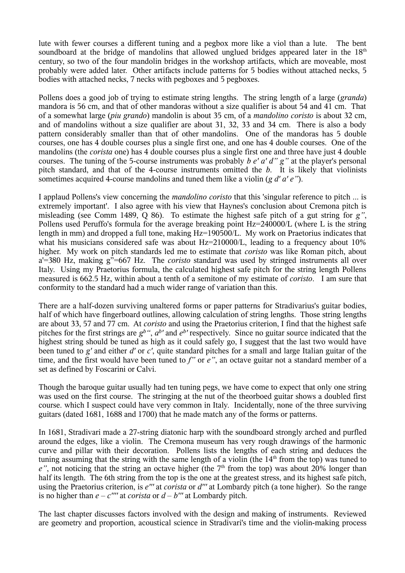lute with fewer courses a different tuning and a pegbox more like a viol than a lute. The bent soundboard at the bridge of mandolins that allowed unglued bridges appeared later in the  $18<sup>th</sup>$ century, so two of the four mandolin bridges in the workshop artifacts, which are moveable, most probably were added later. Other artifacts include patterns for 5 bodies without attached necks, 5 bodies with attached necks, 7 necks with pegboxes and 5 pegboxes.

Pollens does a good job of trying to estimate string lengths. The string length of a large (*granda*) mandora is 56 cm, and that of other mandoras without a size qualifier is about 54 and 41 cm. That of a somewhat large (*piu grando*) mandolin is about 35 cm, of a *mandolino coristo* is about 32 cm, and of mandolins without a size qualifier are about 31, 32, 33 and 34 cm. There is also a body pattern considerably smaller than that of other mandolins. One of the mandoras has 5 double courses, one has 4 double courses plus a single first one, and one has 4 double courses. One of the mandolins (the *corista* one) has 4 double courses plus a single first one and three have just 4 double courses. The tuning of the 5-course instruments was probably *b e' a' d" g"* at the player's personal pitch standard, and that of the 4-course instruments omitted the *b*. It is likely that violinists sometimes acquired 4-course mandolins and tuned them like a violin (*g d' a' e"*).

I applaud Pollens's view concerning the *mandolino coristo* that this 'singular reference to pitch ... is extremely important'. I also agree with his view that Haynes's conclusion about Cremona pitch is misleading (see Comm 1489, Q 86). To estimate the highest safe pitch of a gut string for *g"*, Pollens used Peruffo's formula for the average breaking point Hz=240000/L (where L is the string length in mm) and dropped a full tone, making Hz=190500/L. My work on Praetorius indicates that what his musicians considered safe was about Hz=210000/L, leading to a frequency about 10% higher. My work on pitch standards led me to estimate that *coristo* was like Roman pitch, about a'=380 Hz, making g"=667 Hz. The *coristo* standard was used by stringed instruments all over Italy. Using my Praetorius formula, the calculated highest safe pitch for the string length Pollens measured is 662.5 Hz, within about a tenth of a semitone of my estimate of *coristo*. I am sure that conformity to the standard had a much wider range of variation than this.

There are a half-dozen surviving unaltered forms or paper patterns for Stradivarius's guitar bodies, half of which have fingerboard outlines, allowing calculation of string lengths. Those string lengths are about 33, 57 and 77 cm. At *coristo* and using the Praetorius criterion, I find that the highest safe pitches for the first strings are  $g^{b}$ ",  $a^{b}$  and  $e^{b}$  respectively. Since no guitar source indicated that the highest string should be tuned as high as it could safely go, I suggest that the last two would have been tuned to *g'* and either *d'* or *c'*, quite standard pitches for a small and large Italian guitar of the time, and the first would have been tuned to *f"* or *e"*, an octave guitar not a standard member of a set as defined by Foscarini or Calvi.

Though the baroque guitar usually had ten tuning pegs, we have come to expect that only one string was used on the first course. The stringing at the nut of the theorboed guitar shows a doubled first course. which I suspect could have very common in Italy. Incidentally, none of the three surviving guitars (dated 1681, 1688 and 1700) that he made match any of the forms or patterns.

In 1681, Stradivari made a 27-string diatonic harp with the soundboard strongly arched and purfled around the edges, like a violin. The Cremona museum has very rough drawings of the harmonic curve and pillar with their decoration. Pollens lists the lengths of each string and deduces the tuning assuming that the string with the same length of a violin (the  $14<sup>th</sup>$  from the top) was tuned to  $e^{\prime\prime}$ , not noticing that the string an octave higher (the  $7<sup>th</sup>$  from the top) was about 20% longer than half its length. The 6th string from the top is the one at the greatest stress, and its highest safe pitch, using the Praetorius criterion, is *e'''* at *corista* or *d'''* at Lombardy pitch (a tone higher). So the range is no higher than  $e - c''''$  at *corista* or  $d - b'''$  at Lombardy pitch.

The last chapter discusses factors involved with the design and making of instruments. Reviewed are geometry and proportion, acoustical science in Stradivari's time and the violin-making process